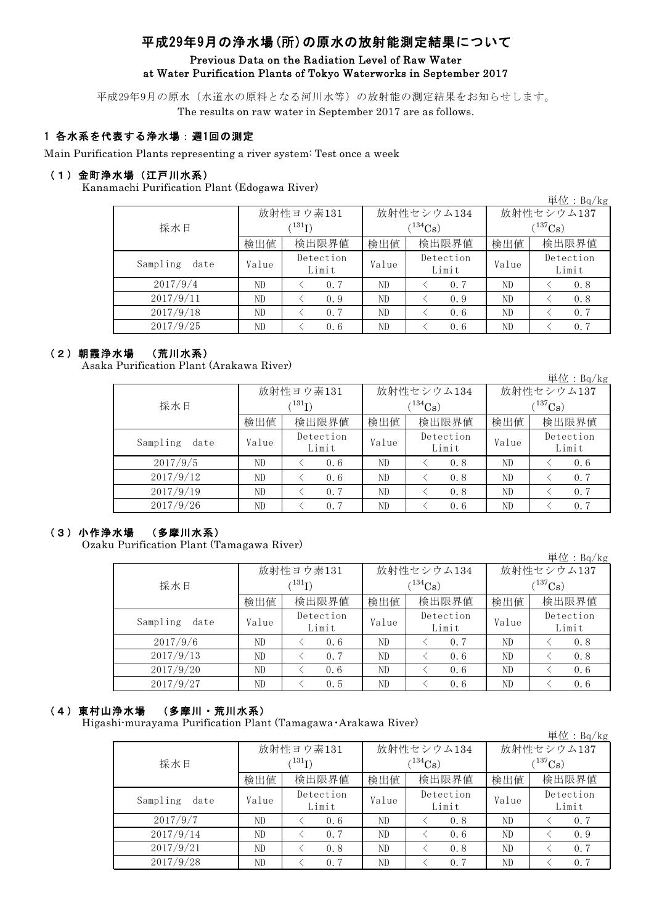# 平成29年9月の浄水場(所)の原水の放射能測定結果について

## Previous Data on the Radiation Level of Raw Water at Water Purification Plants of Tokyo Waterworks in September 2017

平成29年9月の原水(水道水の原料となる河川水等)の放射能の測定結果をお知らせします。 The results on raw water in September 2017 are as follows.

## 1 各水系を代表する浄水場:週1回の測定

Main Purification Plants representing a river system: Test once a week

## (1)金町浄水場(江戸川水系)

Kanamachi Purification Plant (Edogawa River)

|                  |       |                    |              |                    |             | 単位: $Bq/kg$        |  |
|------------------|-------|--------------------|--------------|--------------------|-------------|--------------------|--|
|                  |       | 放射性ヨウ素131          |              | 放射性セシウム134         | 放射性セシウム137  |                    |  |
| 採水日              |       | $^{131}I)$         |              | $(^{134}Cs)$       | $(137)$ Cs) |                    |  |
|                  | 検出値   | 検出限界値              | 検出限界値<br>検出値 |                    | 検出値         | 検出限界値              |  |
| Sampling<br>date | Value | Detection<br>Limit | Value        | Detection<br>Limit | Value       | Detection<br>Limit |  |
| 2017/9/4         | ND    | 0.7                | ND           | 0.7                | ND          | 0.8                |  |
| 2017/9/11        | ND    | 0.9                | ND           | 0.9                | ND          | 0.8                |  |
| 2017/9/18        | ND    | 0.7                | ND           | 0.6                | ND          | 0.7                |  |
| 2017/9/25        | ND    | 0.6                | ND           | 0.6                | ND          | 0.7                |  |

## (2)朝霞浄水場 (荒川水系)

Asaka Purification Plant (Arakawa River)

|                  |           |                          |       |                    |              | 単位: $Bq/kg$        |  |
|------------------|-----------|--------------------------|-------|--------------------|--------------|--------------------|--|
|                  | 放射性ヨウ素131 |                          |       | 放射性セシウム134         | 放射性セシウム137   |                    |  |
| 採水日              |           | $^{\prime\,131}{\rm I})$ |       | $(134)$ Cs         | $(^{137}Cs)$ |                    |  |
|                  | 検出値       | 検出限界値                    | 検出値   | 検出限界値              | 検出値          | 検出限界値              |  |
| Sampling<br>date | Value     | Detection<br>Limit       | Value | Detection<br>Limit | Value        | Detection<br>Limit |  |
| 2017/9/5         | ND        | 0.6                      | ND    | 0.8                | ND           | 0.6                |  |
| 2017/9/12        | ND        | 0.6                      | ND    | 0.8                | ND           | 0.7                |  |
| 2017/9/19        | ND        | 0.7                      | ND    | 0.8                | ND           | 0.7                |  |
| 2017/9/26        | ND        | 0.7                      | ND    | 0.6                | ND           | 0.7                |  |

## (3)小作浄水場 (多摩川水系)

Ozaku Purification Plant (Tamagawa River)

単位:Bq/kg

|                  |       | 放射性ヨウ素131             |       | 放射性セシウム134         | 放射性セシウム137            |                    |  |
|------------------|-------|-----------------------|-------|--------------------|-----------------------|--------------------|--|
| 採水日              |       | $^{131}I)$            |       | $(134)$ Cs         | $(^{137}\mathrm{Cs})$ |                    |  |
|                  | 検出値   | 検出限界値<br>検出限界値<br>検出値 |       | 検出値                | 検出限界値                 |                    |  |
| Sampling<br>date | Value | Detection<br>Limit    | Value | Detection<br>Limit | Value                 | Detection<br>Limit |  |
| 2017/9/6         | ND    | 0.6                   | ND    | 0.7                | ND                    | 0.8                |  |
| 2017/9/13        | ND    | 0.7                   | ND    | 0.6                | ND                    | 0.8                |  |
| 2017/9/20        | ND    | 0.6                   | ND    | 0.6                | ND                    | 0.6                |  |
| 2017/9/27        | ND    | 0.5                   | ND    | 0.6                | ND                    | 0.6                |  |

## (4)東村山浄水場 (多摩川・荒川水系)

Higashi-murayama Purification Plant (Tamagawa・Arakawa River)

|                  |       |                    |       |                    |            | 単位: $Bq/kg$        |  |  |
|------------------|-------|--------------------|-------|--------------------|------------|--------------------|--|--|
|                  |       | 放射性ヨウ素131          |       | 放射性セシウム134         | 放射性セシウム137 |                    |  |  |
| 採水日              |       | (131)              |       | $(134)$ Cs         | $(137)$ Cs |                    |  |  |
|                  | 検出値   | 検出限界値              | 検出値   | 検出限界値              | 検出値        | 検出限界値              |  |  |
| Sampling<br>date | Value | Detection<br>Limit | Value | Detection<br>Limit | Value      | Detection<br>Limit |  |  |
| 2017/9/7         | ND    | 0.6                | ND    | 0.8                | ND         | 0.7                |  |  |
| 2017/9/14        | ND    | 0.7                | ND    | 0.6                | ND         | 0.9                |  |  |
| 2017/9/21        | ND    | 0.8                | ND    | 0.8                | ND         | 0.7                |  |  |
| 2017/9/28        | ND    | 0.7                | ND    | 0.7                | ND         | 0.7                |  |  |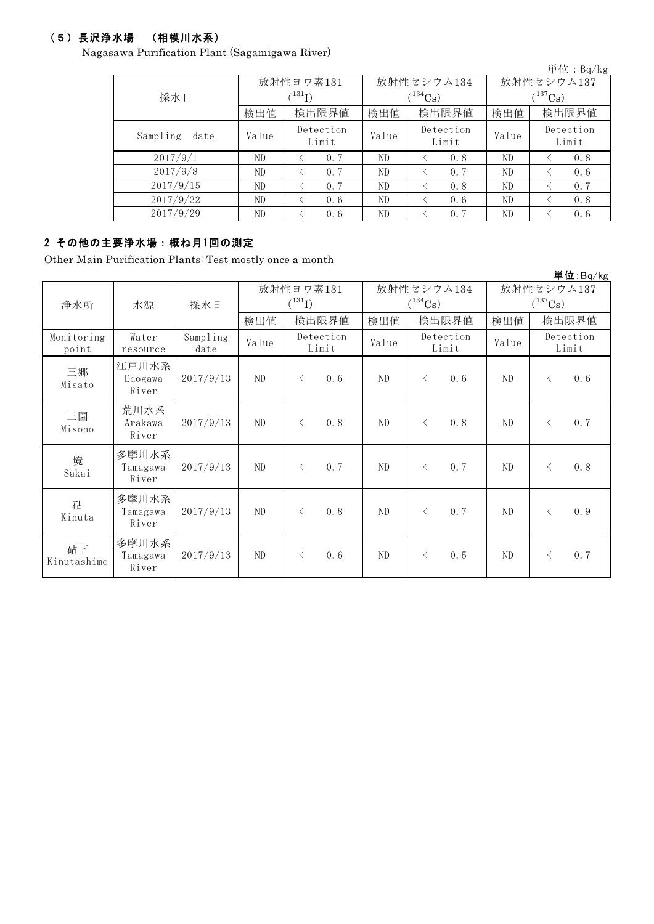## (5)長沢浄水場 (相模川水系)

Nagasawa Purification Plant (Sagamigawa River)

|                  |       |                             |              |                    |              | 単位: $Bq/kg$        |  |  |
|------------------|-------|-----------------------------|--------------|--------------------|--------------|--------------------|--|--|
|                  |       | 放射性ヨウ素131                   |              | 放射性セシウム134         | 放射性セシウム137   |                    |  |  |
| 採水日              |       | $\langle ^{131}\mathrm{I})$ |              | $(^{134}Cs)$       | $(^{137}Cs)$ |                    |  |  |
|                  | 検出値   | 検出限界値                       | 検出値<br>検出限界値 |                    | 検出値          | 検出限界値              |  |  |
| Sampling<br>date | Value | Detection<br>Limit          | Value        | Detection<br>Limit | Value        | Detection<br>Limit |  |  |
| 2017/9/1         | ND    | 0.7                         | ND<br>0.8    |                    | ND           | 0.8                |  |  |
| 2017/9/8         | ND    | 0.7                         | ND           | 0.7                | ND           | 0.6                |  |  |
| 2017/9/15        | ND    | 0.7                         | ND           | 0.8                | ND           | 0.7                |  |  |
| 2017/9/22        | ND    | 0.6                         | ND           | 0.6                | ND           | 0.8                |  |  |
| 2017/9/29        | ND    | 0.6                         | ND           | 0.7                | ND           | 0.6                |  |  |

## 2 その他の主要浄水場:概ね月1回の測定

Other Main Purification Plants: Test mostly once a month

|                     |                            |                  |                          |           |                            |     |                             |                                     |       |                    | 単位:Bg/kg |
|---------------------|----------------------------|------------------|--------------------------|-----------|----------------------------|-----|-----------------------------|-------------------------------------|-------|--------------------|----------|
| 浄水所                 | 水源                         | 採水日              | 放射性ヨウ素131<br>$(^{131}I)$ |           | 放射性セシウム134<br>$(^{134}Cs)$ |     |                             | 放射性セシウム137<br>$(^{137}\mathrm{Cs})$ |       |                    |          |
|                     |                            |                  | 検出値                      |           | 検出限界値                      | 検出値 | 検出限界値                       |                                     | 検出値   |                    | 検出限界値    |
| Monitoring<br>point | Water<br>resource          | Sampling<br>date | Value                    |           | Detection<br>Limit         |     | Detection<br>Value<br>Limit |                                     | Value | Detection<br>Limit |          |
| 三郷<br>Misato        | 江戸川水系<br>Edogawa<br>River  | 2017/9/13        | ND                       | $\langle$ | 0.6                        | ND  | $\langle$                   | 0.6                                 | ND    | $\lt$              | 0.6      |
| 三園<br>Misono        | 荒川水系<br>Arakawa<br>River   | 2017/9/13        | ND                       | $\langle$ | 0.8                        | ND  | $\langle$                   | 0.8                                 | ND    | $\langle$          | 0.7      |
| 境<br>Sakai          | 多摩川水系<br>Tamagawa<br>River | 2017/9/13        | ND                       | $\langle$ | 0.7                        | ND  | $\lt$                       | 0.7                                 | ND    | $\langle$          | 0.8      |
| 砧<br>Kinuta         | 多摩川水系<br>Tamagawa<br>River | 2017/9/13        | ND                       | $\langle$ | 0.8                        | ND  | $\langle$                   | 0, 7                                | ND    | $\langle$          | 0.9      |
| 砧下<br>Kinutashimo   | 多摩川水系<br>Tamagawa<br>River | 2017/9/13        | ND                       | $\langle$ | 0.6                        | ND  | $\lt$                       | 0.5                                 | ND    | $\langle$          | 0.7      |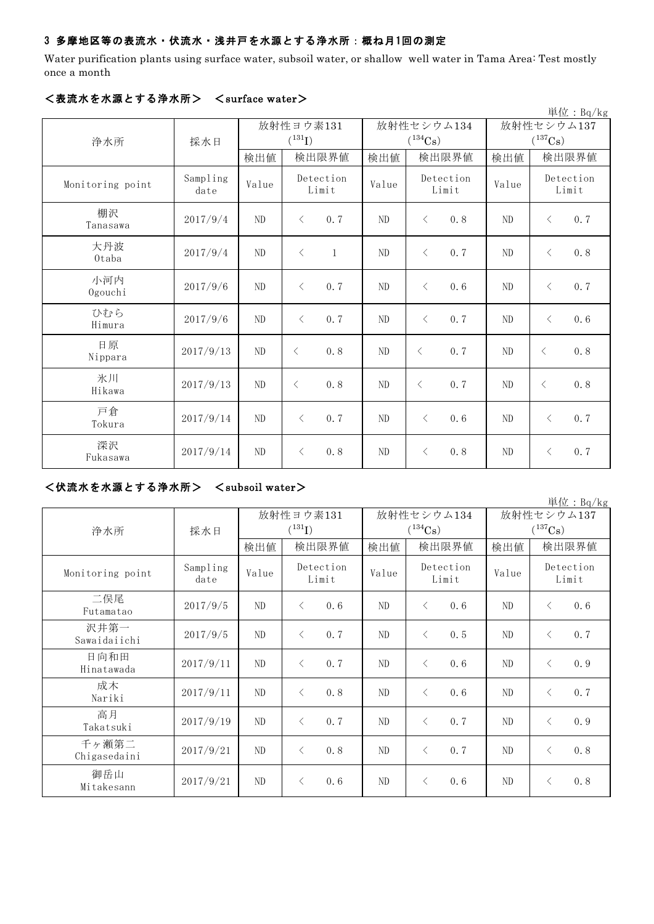## 3 多摩地区等の表流水・伏流水・浅井戸を水源とする浄水所:概ね月1回の測定

Water purification plants using surface water, subsoil water, or shallow well water in Tama Area: Test mostly once a month

|                  |                  |          |                           |       |                    |                | 単位: $Bq/kg$        |  |
|------------------|------------------|----------|---------------------------|-------|--------------------|----------------|--------------------|--|
|                  |                  |          | 放射性ヨウ素131                 |       | 放射性セシウム134         | 放射性セシウム137     |                    |  |
| 浄水所              | 採水日              |          | $(^{131}I)$               |       | $(^{134}Cs)$       | $(^{137}Cs)$   |                    |  |
|                  |                  | 検出値      | 検出限界値                     | 検出値   | 検出限界値              | 検出値            | 検出限界値              |  |
| Monitoring point | Sampling<br>date | Value    | Detection<br>Limit        | Value | Detection<br>Limit | Value          | Detection<br>Limit |  |
| 棚沢<br>Tanasawa   | 2017/9/4         | ND       | 0.7<br>$\langle$          | ND    | 0.8<br>$\langle$   | ND             | 0.7<br>$\langle$   |  |
| 大丹波<br>Otaba     | 2017/9/4         | ND       | $\langle$<br>$\mathbf{1}$ | ND    | 0.7<br>$\langle$   | ND             | 0.8<br>$\langle$   |  |
| 小河内<br>Ogouchi   | 2017/9/6         | ND       | 0.7<br>$\langle$          | ND    | $\langle$<br>0.6   | N <sub>D</sub> | 0.7<br>$\langle$   |  |
| ひむら<br>Himura    | 2017/9/6         | $\rm ND$ | 0.7<br>$\langle$          | ND    | 0.7<br>$\langle$   | ND             | 0.6<br>$\langle$   |  |
| 日原<br>Nippara    | 2017/9/13        | ND       | $\langle$<br>0.8          | ND    | $\langle$<br>0.7   | ND             | 0.8<br>$\langle$   |  |
| 氷川<br>Hikawa     | 2017/9/13        | ND       | 0.8<br>$\lt$              | ND    | 0.7<br>$\langle$   | ND             | 0.8<br>$\langle$   |  |
| 戸倉<br>Tokura     | 2017/9/14        | ND       | 0.7<br>$\langle$          | ND    | 0.6<br>$\langle$   | ND             | 0.7<br>$\lt$       |  |
| 深沢<br>Fukasawa   | 2017/9/14        | ND       | 0.8<br>$\langle$          | ND    | 0.8<br>$\langle$   | ND             | 0.7<br>$\langle$   |  |

### <表流水を水源とする浄水所> <surface water>

#### <伏流水を水源とする浄水所> <subsoil water>

単位:Bq/kg 検出値 |検出値 |検出限界値 |検出値 Sampling date Value Evertion Value Detection Value 2017/9/5 ND < 0.6 ND < 0.6 ND < 0.6 2017/9/5 | ND | < 0.7 | ND | < 0.5 | ND | < 0.7 2017/9/11 ND  $\vert \langle 0.7 \vert \vert N_D \vert \vert \langle 0.6 \vert N_D \vert \vert \langle 0.9 \vert \vert N_D \vert \vert \langle 0.9 \vert$  $2017/9/11$  ND < 0.8 ND < 0.6 ND < 0.7 2017/9/19 ND < 0.7 ND < 0.7 ND < 0.9  $2017/9/21$  ND < 0.8 ND < 0.7 ND < 0.8 2017/9/21 | ND | < 0.6 | ND | < 0.6 | ND | < 0.8 放射性セシウム137  $(^{137}\mathrm{Cs})$ 放射性セシウム134  $(^{134}Cs)$ Detection Limit 検出限界値 |検出値 |検出限界値 Monitoring point Sampling Value Detection Limit Detection Limit 浄水所 | 採水日 沢井第一 Sawaidaiichi 千ヶ瀬第二 Chigasedaini 御岳山 Mitakesann 高月 Takatsuki 日向和田 Hinatawada 二俣尾 Futamatao 成木 Nariki 放射性ヨウ素131  $(^{131}\text{I})$